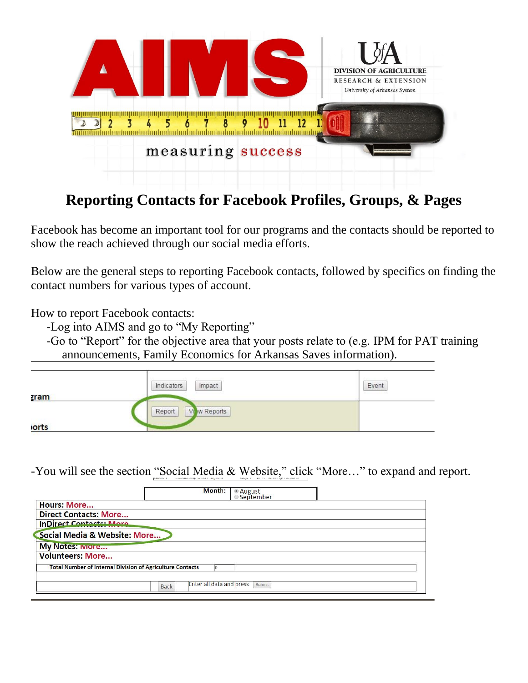

## **Reporting Contacts for Facebook Profiles, Groups, & Pages**

Facebook has become an important tool for our programs and the contacts should be reported to show the reach achieved through our social media efforts.

Below are the general steps to reporting Facebook contacts, followed by specifics on finding the contact numbers for various types of account.

How to report Facebook contacts:

-Log into AIMS and go to "My Reporting"

-Go to "Report" for the objective area that your posts relate to (e.g. IPM for PAT training announcements, Family Economics for Arkansas Saves information).

|             | Impact<br>Indicators                        | Event |
|-------------|---------------------------------------------|-------|
| <b>zram</b> |                                             |       |
|             | w Reports<br>Report<br><b>V<sub>b</sub></b> |       |
| <b>orts</b> |                                             |       |

-You will see the section "Social Media & Website," click "More…" to expand and report.

| Month:                                                           | ● August<br>◎ September |
|------------------------------------------------------------------|-------------------------|
| <b>Hours: More</b>                                               |                         |
| <b>Direct Contacts: More</b>                                     |                         |
| <b>InDirect Contacts: More</b>                                   |                         |
| Social Media & Website: More                                     |                         |
| <b>My Notes: Iviore</b>                                          |                         |
| <b>Volunteers: More</b>                                          |                         |
| <b>Total Number of Internal Division of Agriculture Contacts</b> |                         |
| Enter all data and press<br><b>Back</b>                          | Submit                  |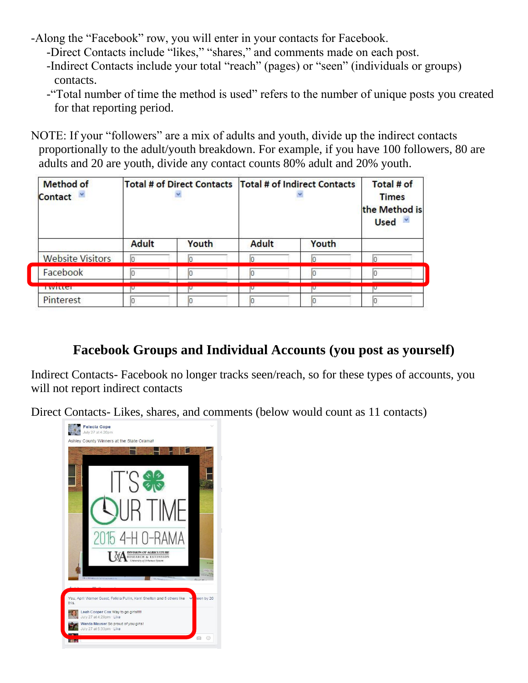-Along the "Facebook" row, you will enter in your contacts for Facebook.

- -Direct Contacts include "likes," "shares," and comments made on each post.
- -Indirect Contacts include your total "reach" (pages) or "seen" (individuals or groups) contacts.
- -"Total number of time the method is used" refers to the number of unique posts you created for that reporting period.

NOTE: If your "followers" are a mix of adults and youth, divide up the indirect contacts proportionally to the adult/youth breakdown. For example, if you have 100 followers, 80 are adults and 20 are youth, divide any contact counts 80% adult and 20% youth.

| <b>Method of</b><br>Contact |              |       | Total # of Direct Contacts   Total # of Indirect Contacts |       | Total # of<br><b>Times</b><br>the Method is<br>Used v |
|-----------------------------|--------------|-------|-----------------------------------------------------------|-------|-------------------------------------------------------|
|                             | <b>Adult</b> | Youth | <b>Adult</b>                                              | Youth |                                                       |
| <b>Website Visitors</b>     | In           |       |                                                           |       | l٥                                                    |
| Facebook                    | lo           |       |                                                           |       |                                                       |
| <u>i witter</u>             |              |       |                                                           |       |                                                       |
| Pinterest                   |              |       |                                                           |       |                                                       |

## **Facebook Groups and Individual Accounts (you post as yourself)**

Indirect Contacts- Facebook no longer tracks seen/reach, so for these types of accounts, you will not report indirect contacts

Direct Contacts- Likes, shares, and comments (below would count as 11 contacts)

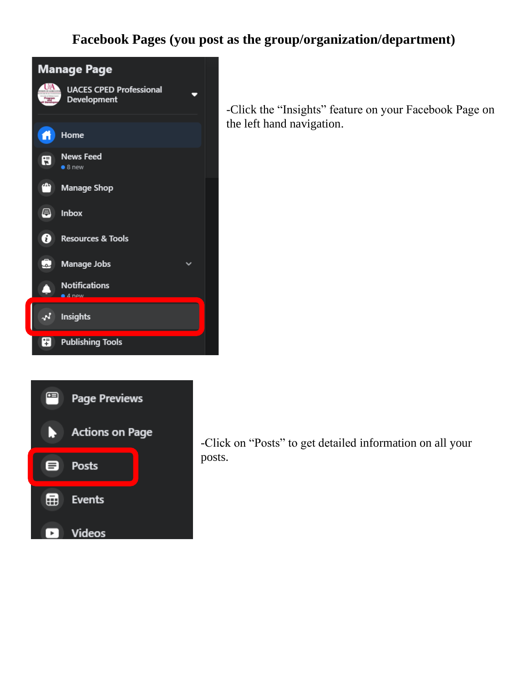## **Facebook Pages (you post as the group/organization/department)**





-Click the "Insights" feature on your Facebook Page on the left hand navigation.

-Click on "Posts" to get detailed information on all your posts.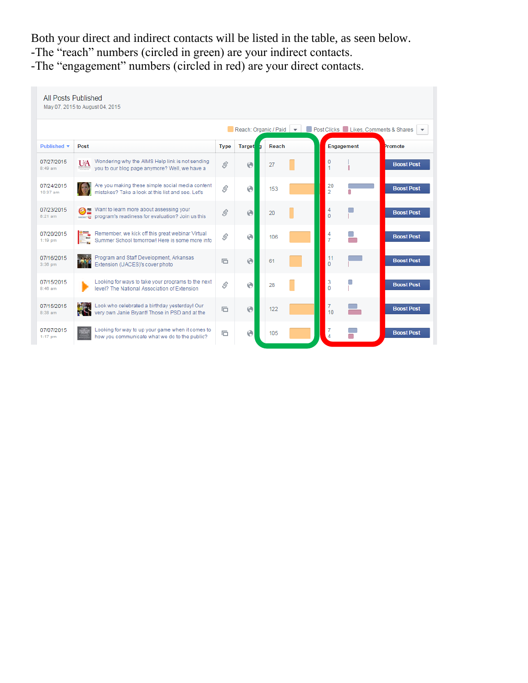Both your direct and indirect contacts will be listed in the table, as seen below. -The "reach" numbers (circled in green) are your indirect contacts. -The "engagement" numbers (circled in red) are your direct contacts.

| All Posts Published<br>May 07, 2015 to August 04, 2015 |                                                                                                                    |                                                                                                                                                                                                                                                                                                                                                                                                                                                           |               |       |                      |                          |
|--------------------------------------------------------|--------------------------------------------------------------------------------------------------------------------|-----------------------------------------------------------------------------------------------------------------------------------------------------------------------------------------------------------------------------------------------------------------------------------------------------------------------------------------------------------------------------------------------------------------------------------------------------------|---------------|-------|----------------------|--------------------------|
|                                                        | Post Clicks Likes, Comments & Shares<br>Reach: Organic / Paid<br>$\overline{\mathbf{v}}$                           |                                                                                                                                                                                                                                                                                                                                                                                                                                                           |               |       |                      | $\overline{\phantom{a}}$ |
| <b>Published ▼</b>                                     | Post                                                                                                               | <b>Type</b>                                                                                                                                                                                                                                                                                                                                                                                                                                               | <b>Target</b> | Reach | Engagement           | Promote                  |
| 07/27/2015<br>$8:49$ am                                | Wondering why the AIMS Help link is not sending<br>UA<br>you to our blog page anymore? Well, we have a             | Ŝ.                                                                                                                                                                                                                                                                                                                                                                                                                                                        | Θ             | 27    | 0                    | <b>Boost Post</b>        |
| 07/24/2015<br>$10:37$ am                               | Are you making these simple social media content<br>mistakes? Take a look at this list and see. Let's              | \$                                                                                                                                                                                                                                                                                                                                                                                                                                                        | Θ             | 153   | 20<br>$\overline{2}$ | <b>Boost Post</b>        |
| 07/23/2015<br>$8:21$ am                                | <del>Ø</del> Mant to learn more about assessing your<br>program's readiness for evaluation? Join us this           | Ŝ                                                                                                                                                                                                                                                                                                                                                                                                                                                         | $\odot$       | 20    | 4<br>0               | <b>Boost Post</b>        |
| 07/20/2015<br>$1:19$ pm                                | Remember, we kick off this great webinar Virtual<br>Summer School tomorrow! Here is some more info                 | $\mathcal{S}% _{0}=\mathcal{S}_{0}=\mathcal{S}_{0}=\mathcal{S}_{0}=\mathcal{S}_{0}=\mathcal{S}_{0}=\mathcal{S}_{0}=\mathcal{S}_{0}=\mathcal{S}_{0}=\mathcal{S}_{0}=\mathcal{S}_{0}=\mathcal{S}_{0}=\mathcal{S}_{0}=\mathcal{S}_{0}=\mathcal{S}_{0}=\mathcal{S}_{0}=\mathcal{S}_{0}=\mathcal{S}_{0}=\mathcal{S}_{0}=\mathcal{S}_{0}=\mathcal{S}_{0}=\mathcal{S}_{0}=\mathcal{S}_{0}=\mathcal{S}_{0}=\mathcal{S}_{0}=\mathcal{S}_{0}=\mathcal{S}_{0}=\math$ | Θ             | 106   | 4<br>$\overline{7}$  | <b>Boost Post</b>        |
| 07/16/2015<br>3:36 pm                                  | Program and Staff Development, Arkansas<br>Extension (UACES)'s cover photo                                         | 后                                                                                                                                                                                                                                                                                                                                                                                                                                                         | $\odot$       | 61    | 11<br>0              | <b>Boost Post</b>        |
| 07/15/2015<br>$8:46$ am                                | Looking for ways to take your programs to the next<br>level? The National Association of Extension                 | \$                                                                                                                                                                                                                                                                                                                                                                                                                                                        | Θ             | 28    | 3<br>0               | <b>Boost Post</b>        |
| 07/15/2015<br>$8:38$ am                                | Look who celebrated a birthday yesterday! Our<br>M.<br>very own Janie Bryant! Those in PSD and at the<br><b>UM</b> | 后                                                                                                                                                                                                                                                                                                                                                                                                                                                         | $\odot$       | 122   | 7<br>10              | <b>Boost Post</b>        |
| 07/07/2015<br>$1:17$ pm                                | Looking for way to up your game when it comes to<br>how you communicate what we do to the public?                  | 后                                                                                                                                                                                                                                                                                                                                                                                                                                                         | ⊛             | 105   | Δ                    | <b>Boost Post</b>        |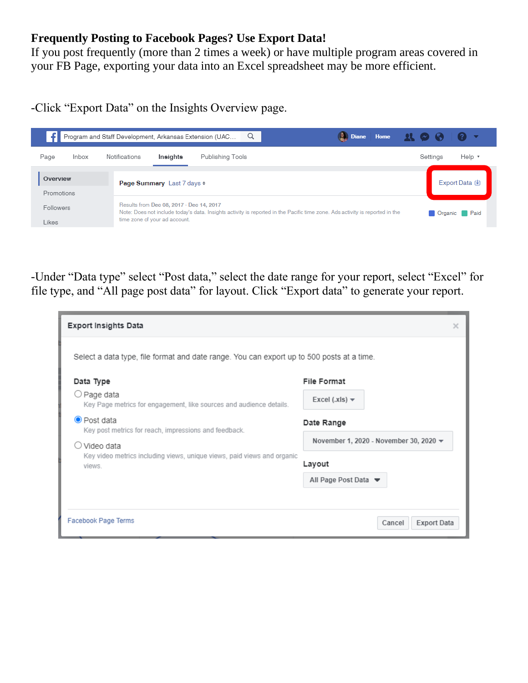## **Frequently Posting to Facebook Pages? Use Export Data!**

If you post frequently (more than 2 times a week) or have multiple program areas covered in your FB Page, exporting your data into an Excel spreadsheet may be more efficient.

-Click "Export Data" on the Insights Overview page.



-Under "Data type" select "Post data," select the date range for your report, select "Excel" for file type, and "All page post data" for layout. Click "Export data" to generate your report.

| <b>Export Insights Data</b>                                                                     |                                                           | $\times$ |  |  |  |  |
|-------------------------------------------------------------------------------------------------|-----------------------------------------------------------|----------|--|--|--|--|
| Select a data type, file format and date range. You can export up to 500 posts at a time.       |                                                           |          |  |  |  |  |
| Data Type<br>○ Page data<br>Key Page metrics for engagement, like sources and audience details. | File Format<br>Excel (.xls) $\blacktriangledown$          |          |  |  |  |  |
| $\bullet$ Post data<br>Key post metrics for reach, impressions and feedback.                    | Date Range                                                |          |  |  |  |  |
| Video data                                                                                      | November 1, 2020 - November 30, 2020 $\blacktriangledown$ |          |  |  |  |  |
| Key video metrics including views, unique views, paid views and organic<br>views.               | Layout                                                    |          |  |  |  |  |
|                                                                                                 | All Page Post Data                                        |          |  |  |  |  |
|                                                                                                 |                                                           |          |  |  |  |  |
| Facebook Page Terms                                                                             | <b>Export Data</b><br>Cancel                              |          |  |  |  |  |